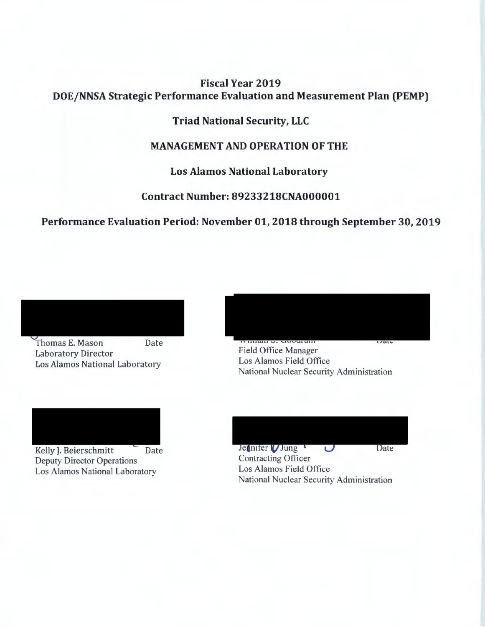# **Fiscal Year 2019 DOE/ NNSA Strategic Performance Evaluation and Measurement Plan (PEMP)**

# **Triad National Security, LLC**

# **MANAGEMENT AND OPERATION OF THE**

**Los Alamos National Laboratory** 

**Contract Number: 89233218CNA000001** 

**Performance Evaluation Period: November 01, 2018 through September 30, 2019** 



Thomas E. Mason Date Laboratory Director



**Field Office Manager** Los Alamos National Laboratory<br>
National Nuclear Security Administration<br>
National Nuclear Security Administration



Deputy Director Operations Los Alamos National Laboratory

| Jennifer <i>Jung</i>                     | Date. |
|------------------------------------------|-------|
| <b>Contracting Officer</b>               |       |
| Los Alamos Field Office                  |       |
| National Nuclear Security Administration |       |
|                                          |       |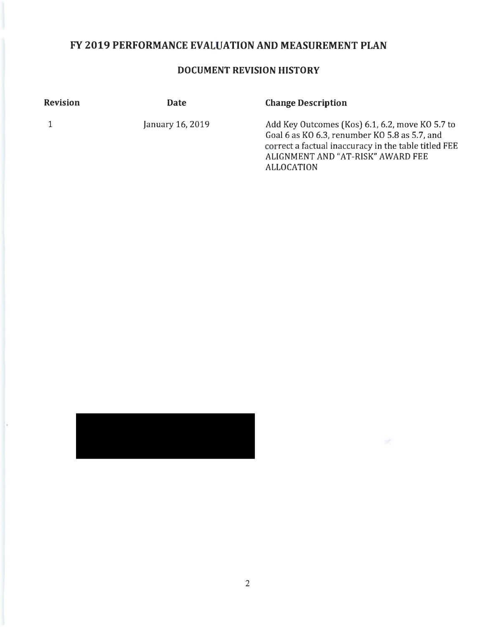# **FY 2019 PERFORMANCE EVALUATION AND MEASUREMENT PLAN**

# **DOCUMENT REVISION HISTORY**

| <b>Revision</b> | <b>Date</b>      | <b>Change Description</b>                                                                                                                                                                                   |
|-----------------|------------------|-------------------------------------------------------------------------------------------------------------------------------------------------------------------------------------------------------------|
|                 | January 16, 2019 | Add Key Outcomes (Kos) 6.1, 6.2, move KO 5.7 to<br>Goal 6 as KO 6.3, renumber KO 5.8 as 5.7, and<br>correct a factual inaccuracy in the table titled FEE<br>ALIGNMENT AND "AT-RISK" AWARD FEE<br>ALLOCATION |



 $\rightarrow$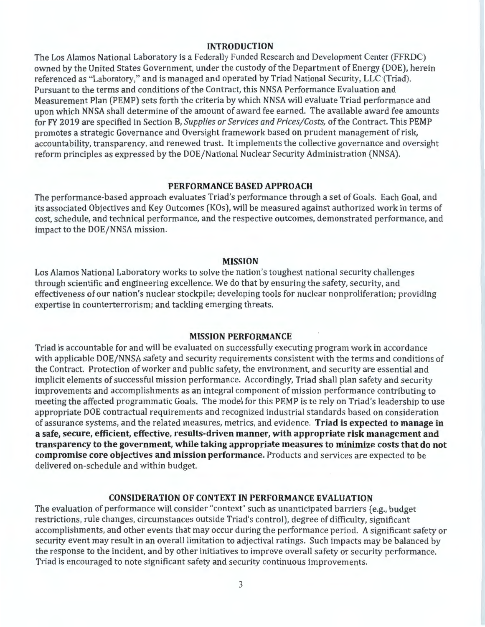#### **INTRODUCTION**

The Los Alamos National Laboratory is a Federally Funded Research and Development Center (FFRDC) owned by the United States Government, under the custody of the Department of Energy (DOE), herein referenced as "Laboratory," and is managed and operated by Triad National Security, LLC (Triad). Pursuant to the terms and conditions of the Contract, this NNSA Performance Evaluation and Measurement Plan (PEMP) sets forth the criteria by which NNSA will evaluate Triad performance and upon which NNSA shall determine of the amount of award fee earned. The available award fee amounts for FY 2019 are specified in Section B, *Supplies or Services and Prices/Costs,* of the Contract. This PEMP promotes a strategic Governance and Oversight framework based on prudent management of risk, accountability, transparency, and renewed trust. It implements the collective governance and oversight reform principles as expressed by the DOE/National Nuclear Security Administration (NNSA).

#### **PERFORMANCE BASED APPROACH**

The performance-based approach evaluates Triad's performance through a set of Goals. Each Goal, and its associated Objectives and Key Outcomes (KOs), will be measured against authorized work in terms of cost, schedule, and technical performance, and the respective outcomes, demonstrated performance, and impact to the DOE/NNSA mission.

#### **MISSION**

Los Alamos National Laboratory works to solve the nation's toughest national security challenges through scientific and engineering excellence. We do that by ensuring the safety, security, and effectiveness of our nation's nuclear stockpile; developing tools for nuclear nonproliferation; providing expertise in counterterrorism; and tackling emerging threats.

## **MISSION PERFORMANCE**

Triad is accountable for and will be evaluated on successfully executing program work in accordance with applicable DOE/NNSA safety and security requirements consistent with the terms and conditions of the Contract. Protection of worker and public safety, the environment, and security are essential and implicit elements of successful mission performance. Accordingly, Triad shall plan safety and security improvements and accomplishments as an integral component of mission performance contributing to meeting the affected programmatic Goals. The model for this PEMP is to rely on Triad's leadership to use appropriate DOE contractual requirements and recognized industrial standards based on consideration of assurance systems, and the related measures, metrics, and evidence. **Triad is expected to manage in a safe, secure, efficient, effective, results-driven manner, with appropriate risk management and transparency to the government, while taking appropriate measures to minimize costs that do not compromise core objectives and mission performance.** Products and services are expected to be delivered on-schedule and within budget.

#### **CONSIDERATION OF CONTEXT IN PERFORMANCE EVALUATION**

The evaluation of performance will consider "context" such as unanticipated barriers (e.g., budget restrictions, rule changes, circumstances outside Triad's control), degree of difficulty, significant accomplishments, and other events that may occur during the performance period. A significant safety or security event may result in an overall limitation to adjectival ratings. Such impacts may be balanced by the response to the incident, and by other initiatives to improve overall safety or security performance. Triad is encouraged to note significant safety and security continuous improvements.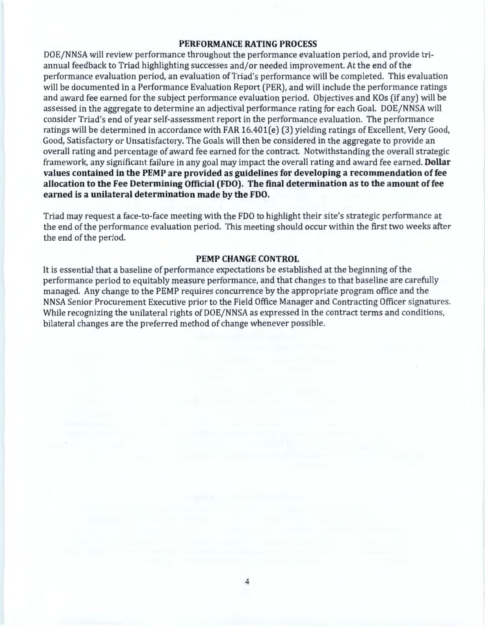#### **PERFORMANCE RATING PROCESS**

DOE/NNSA will review performance throughout the performance evaluation period, and provide triannual feedback to Triad highlighting successes and/or needed improvement. At the end of the performance evaluation period, an evaluation of Triad's performance will be completed. This evaluation will be documented in a Performance Evaluation Report (PER), and will include the performance ratings and award fee earned for the subject performance evaluation period. Objectives and KOs (if any) will be assessed in the aggregate to determine an adjectival performance rating for each Goal. DOE/NNSA will consider Triad's end of year self-assessment report in the performance evaluation. The performance ratings will be determined in accordance with FAR 16.401(e) (3) yielding ratings of Excellent, Very Good, Good, Satisfactory or Unsatisfactory. The Goals will then be considered in the aggregate to provide an overall rating and percentage of award fee earned for the contract. Notwithstanding the overall strategic framework, any significant failure in any goal may impact the overall rating and award fee earned. **Dollar values contained in the PEMP are provided as guidelines for developing a recommendation of fee allocation to the Fee Determining Official (FDO). The final determination as to the amount of fee earned is a unilateral determination made by the FDO.** 

Triad may request a face-to-face meeting with the FDO to highlight their site's strategic performance at the end of the performance evaluation period. This meeting should occur within the first two weeks after the end of the period.

### **PEMP CHANGE CONTROL**

It is essential that a baseline of performance expectations be established at the beginning of the performance period to equitably measure performance, and that changes to that baseline are carefully managed. Any change to the PEMP requires concurrence by the appropriate program office and the NNSA Senior Procurement Executive prior to the Field Office Manager and Contracting Officer signatures. While recognizing the unilateral rights of DOE/NNSA as expressed in the contract terms and conditions, bilateral changes are the preferred method of change whenever possible.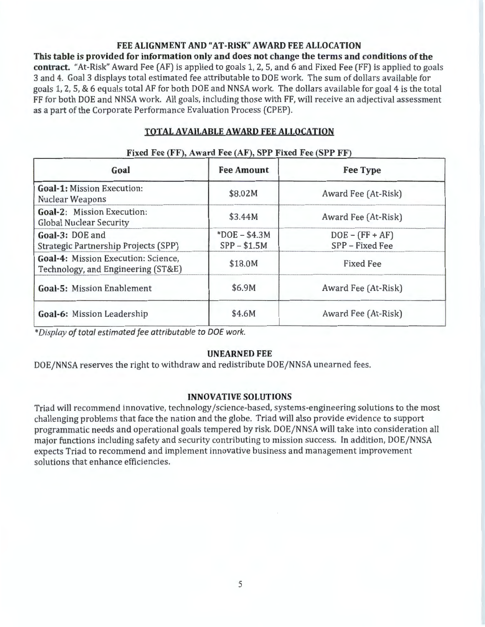#### **FEE ALIGNMENT AND "AT-RISK" AWARD FEE ALLOCATION**

**This table is provided for information only and does not change the terms and conditions of the contract.** "At-Risk" Award Fee (AF) is applied to goals 1, 2, 5, and 6 and Fixed Fee (FF) is applied to goals 3 and 4. Goal 3 displays total estimated fee attributable to DOE work. The sum of dollars available for goals 1, 2, 5, & 6 equals total AF for both DOE and NNSA work. The dollars available for goal 4 is the total FF for both DOE and NNSA work. All goals, including those with FF, will receive an adjectival assessment as a part of the Corporate Performance Evaluation Process (CPEP).

# **TOTAL AVAILABLE AWARD FEE ALLOCATION**

| Goal                                                                             | <b>Fee Amount</b>               | <b>Fee Type</b>                      |
|----------------------------------------------------------------------------------|---------------------------------|--------------------------------------|
| <b>Goal-1: Mission Execution:</b><br><b>Nuclear Weapons</b>                      | \$8.02M                         | Award Fee (At-Risk)                  |
| <b>Goal-2: Mission Execution:</b><br><b>Global Nuclear Security</b>              | \$3.44M                         | Award Fee (At-Risk)                  |
| Goal-3: DOE and<br>Strategic Partnership Projects (SPP)                          | $*DOE - $4.3M$<br>$SPP - $1.5M$ | $DOE - (FF + AF)$<br>SPP - Fixed Fee |
| <b>Goal-4: Mission Execution: Science,</b><br>Technology, and Engineering (ST&E) | \$18.0M                         | <b>Fixed Fee</b>                     |
| <b>Goal-5: Mission Enablement</b>                                                | \$6.9M                          | Award Fee (At-Risk)                  |
| Goal-6: Mission Leadership                                                       | \$4.6M                          | Award Fee (At-Risk)                  |

#### **Fixed Fee (FF), Award Fee (AF), SPP Fixed Fee (SPP FF)**

\* *Display of total estimated fee attributable to DOE work.* 

# **UNEARNED FEE**

DOE/NNSA reserves the right to withdraw and redistribute DOE/NNSA unearned fees.

#### **INNOVATIVE SOLUTIONS**

Triad will recommend innovative, technology /science-based, systems-engineering solutions to the most challenging problems that face the nation and the globe. Triad will also provide evidence to support programmatic needs and operational goals tempered by risk. DOE/NNSA will take into consideration all major functions including safety and security contributing to mission success. In addition, DOE/NNSA expects Triad to recommend and implement innovative business and management improvement solutions that enhance efficiencies.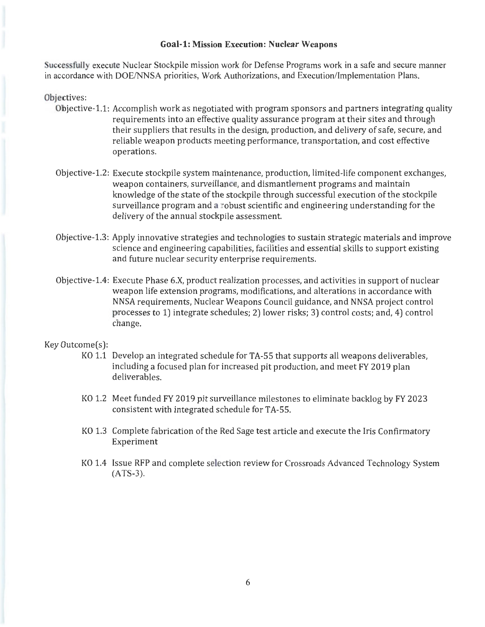#### **Goal-1: Mission Execution: Nuclear Weapons**

Successfully execute Nuclear Stockpile mission work for Defense Programs work in a safe and secure manner in accordance with DOE/NNSA priorities, Work Authorizations, and Execution/Implementation Plans.

#### Objectives:

- Objective-1.1: Accomplish work as negotiated with program sponsors and partners integrating quality requirements into an effective quality assurance program at their sites and through their suppliers that results in the design, production, and delivery of safe, secure, and reliable weapon products meeting performance, transportation, and cost effective operations.
- Objective-1.2: Execute stockpile system maintenance, production, limited-life component exchanges, weapon containers, surveillance, and dismantlement programs and maintain knowledge of the state of the stockpile through successful execution of the stockpile surveillance program and a robust scientific and engineering understanding for the delivery of the annual stockpile assessment.
- Objective-1.3: Apply innovative strategies and technologies to sustain strategic materials and improve science and engineering capabilities, facilities and essential skills to support existing and future nuclear security enterprise requirements.
- Objective-1.4: Execute Phase 6.X, product realization processes, and activities in support of nuclear weapon life extension programs, modifications, and alterations in accordance with NNSA requirements, Nuclear Weapons Council guidance, and NNSA project control processes to 1) integrate schedules; 2) lower risks; 3) control costs; and, 4) control change.

- KO 1.1 Develop an integrated schedule for TA-55 that supports all weapons deliverables, including a focused plan for increased pit production, and meet FY 2019 plan deliverables.
- KO 1.2 Meet funded FY 2019 pit surveillance milestones to eliminate backlog by FY 2023 consistent with integrated schedule for TA-55.
- KO 1.3 Complete fabrication of the Red Sage test article and execute the Iris Confirmatory Experiment
- KO 1.4 Issue RFP and complete selection review for Crossroads Advanced Technology System (ATS-3).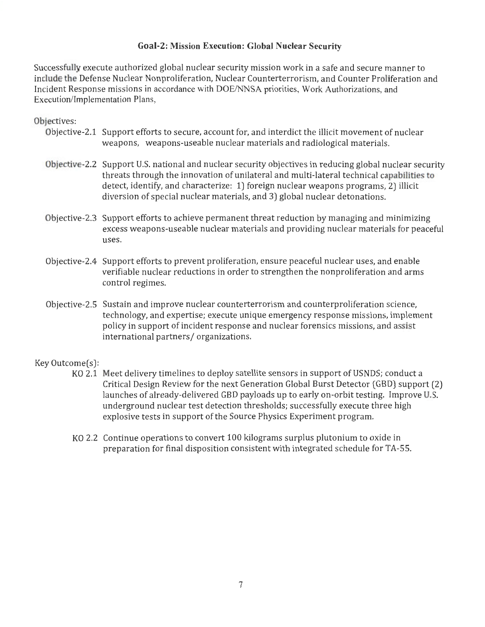# **Goal-2: Mission Execution: Global Nuclear Security**

Successfully execute authorized global nuclear security mission work in a safe and secure manner to include the Defense Nuclear Nonproliferation, Nuclear Counterterrorism, and Counter Proliferation and Incident Response missions in accordance with DOE/NNSA priorities, Work Authorizations, and Execution/Implementation Plans,

# Objectives:

- Objective-2.1 Support efforts to secure, account for, and interdict the illicit movement of nuclear weapons, weapons-useable nuclear materials and radiological materials.
- Objective-2.2 Support U.S. national and nuclear security objectives in reducing global nuclear security threats through the innovation of unilateral and multi-lateral technical capabilities to detect, identify, and characterize: 1) foreign nuclear weapons programs, 2) illicit diversion of special nuclear materials, and 3) global nuclear detonations.
- Objective-2.3 Support efforts to achieve permanent threat reduction by managing and minimizing excess weapons-useable nuclear materials and providing nuclear materials for peaceful uses.
- Objective-2.4 Support efforts to prevent proliferation, ensure peaceful nuclear uses, and enable verifiable nuclear reductions in order to strengthen the nonproliferation and arms control regimes.
- Objective-2.5 Sustain and improve nuclear counterterrorism and counterproliferation science, technology, and expertise; execute unique emergency response missions, implement policy in support of incident response and nuclear forensics missions, and assist international partners/ organizations.

- KO 2.1 Meet delivery timelines to deploy satellite sensors in support of USNDS; conduct a Critical Design Review for the next Generation Global Burst Detector (GBD) support (2) launches of already-delivered GBD payloads up to early on-orbit testing. Improve U.S. underground nuclear test detection thresholds; successfully execute three high explosive tests in support of the Source Physics Experiment program.
- KO 2.2 Continue operations to convert 100 kilograms surplus plutonium to oxide in preparation for final disposition consistent with integrated schedule for TA-55.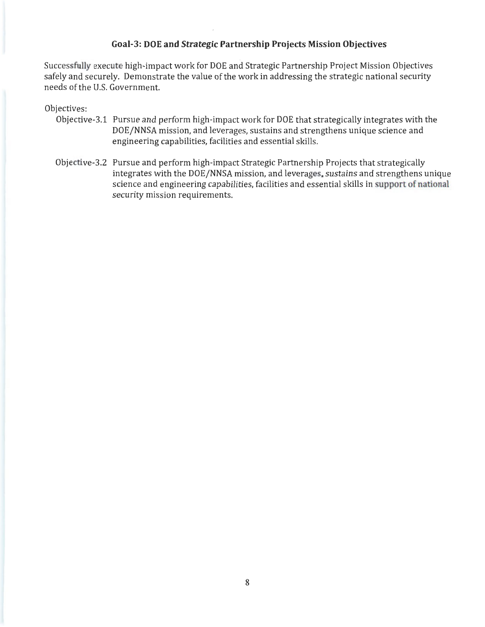# **Goal-3: DOE and Strategic Partnership Projects Mission Objectives**

Successfully execute high-impact work for DOE and Strategic Partnership Project Mission Objectives safely and securely. Demonstrate the value of the work in addressing the strategic national security needs of the U.S. Government.

## Objectives:

- Objective-3.1 Pursue and perform high-impact work for DOE that strategically integrates with the DOE/NNSA mission, and leverages, sustains and strengthens unique science and engineering capabilities, facilities and essential skills.
- Objective-3.2 Pursue and perform high-impact Strategic Partnership Projects that strategically integrates with the DOE/NNSA mission, and leverages, sustains and strengthens unique science and engineering capabilities, facilities and essential skills in support of national security mission requirements.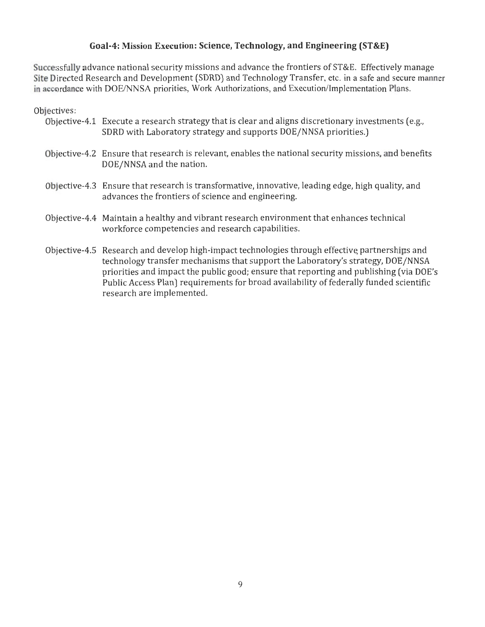# **Goal-4: Mission Execution: Science, Technology, and Engineering (ST&E)**

• Successfully advance national security missions and advance the frontiers of ST&E. Effectively manage Site Directed Research and Development (SDRD) and Technology Transfer, etc. in a safe and secure manner in accordance with DOE/NNSA priorities, Work Authorizations, and Execution/Implementation Plans.

Objectives:

- 0bjective-4.1 Execute a research strategy that is clear and aligns discretionary investments (e.g., SDRD with Laboratory strategy and supports D0E/NNSA priorities.)
- 0bjective-4.2 Ensure that research is relevant, enables the national security missions, and benefits D0E/NNSA and the nation.
- 0bjective-4.3 Ensure that research is transformative, innovative, leading edge, high quality, and advances the frontiers of science and engineering.
- 0bjective-4.4 Maintain a healthy and vibrant research environment that enhances technical workforce competencies and research capabilities.
- 0bjective-4.5 Research and develop high-impact technologies through effective. partnerships and technology transfer mechanisms that support the Laboratory's strategy, D0E/NNSA priorities and impact the public good; ensure that reporting and publishing (via D0E's Public Access Plan) requirements for broad availability of federally funded scientific research are implemented.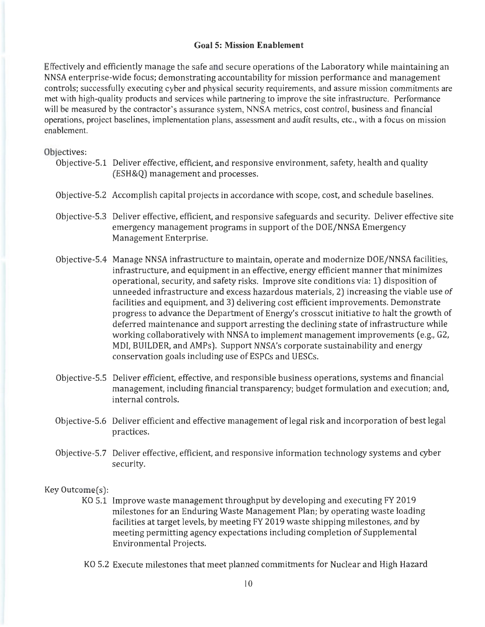#### **Goal 5: Mission Enablement**

Effectively and efficiently manage the safe and secure operations of the Laboratory while maintaining an NNSA enterprise-wide focus; demonstrating accountability for mission performance and management controls; successfully executing cyber and physical security requirements, and assure mission commitments are met with high-quality products and services while partnering to improve the site infrastructure. Performance will be measured by the contractor's assurance system, NNSA metrics, cost control, business and financial operations, project baselines, implementation plans, assessment and audit results, etc., with a focus on mission enablement.

#### Objectives:

- Objective-5.1 Deliver effective, efficient, and responsive environment, safety, health and quality (ESH&Q) management and processes.
- Objective-5.2 Accomplish capital projects in accordance with scope, cost, and schedule baselines.
- Objective-5.3 Deliver effective, efficient, and responsive safeguards and security. Deliver effective site emergency management programs in support of the DOE/NNSA Emergency Management Enterprise.
- Objective-5.4 Manage NNSA infrastructure to maintain, operate and modernize DOE/NNSA facilities, infrastructure, and equipment in an effective, energy efficient manner that minimizes operational, security, and safety risks. Improve site conditions via: 1) disposition of unneeded infrastructure and excess hazardous materials, 2) increasing the viable use of facilities and equipment, and 3) delivering cost efficient improvements. Demonstrate progress to advance the Department of Energy's crosscut initiative to halt the growth of deferred maintenance and support arresting the declining state of infrastructure while working collaboratively with NNSA to implement management improvements (e.g., G2, MDI, BUILDER, and AMPs). Support NNSA's corporate sustainability and energy conservation goals including use of ESPCs and UESCs.
- Objective-5.5 Deliver efficient, effective, and responsible business operations, systems and financial management, including financial transparency; budget formulation and execution; and, internal controls.
- Objective-5.6 Deliver efficient and effective management of legal risk and incorporation of best legal practices.
- Objective-5.7 Deliver effective, efficient, and responsive information technology systems and cyber security.

- KO 5.1 Improve waste management throughput by developing and executing FY 2019 milestones for an Enduring Waste Management Plan; by operating waste loading facilities at target levels, by meeting FY 2019 waste shipping milestones, and by meeting permitting agency expectations including completion of Supplemental Environmental Projects.
- KO 5.2 Execute milestones that meet planned commitments for Nuclear and High Hazard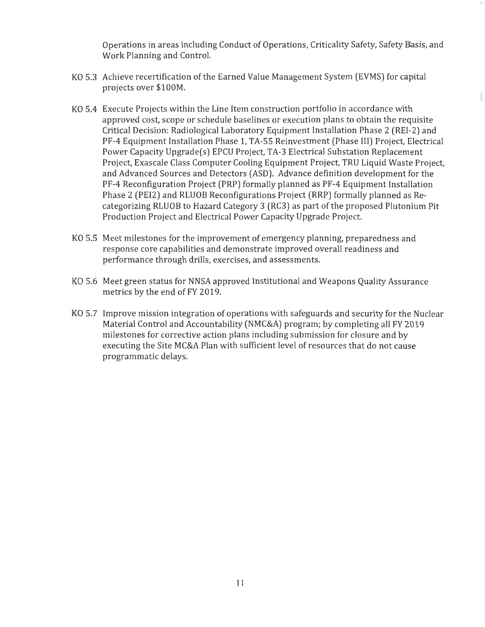Operations in areas including Conduct of Operations, Criticality Safety, Safety Basis, and Work Planning and Control.

- KO 5.3 Achieve recertification of the Earned Value Management System (EVMS) for capital projects over \$100M.
- KO 5.4 Execute Projects within the Line Item construction portfolio in accordance with approved cost, scope or schedule baselines or execution plans to obtain the requisite Critical Decision: Radiological Laboratory Equipment Installation Phase 2 (REl-2) and PF-4 Equipment Installation Phase 1, TA-55 Reinvestment (Phase III) Project, Electrical Power Capacity Upgrade(s) EPCU Project, TA-3 Electrical Substation Replacement Project, Exascale Class Computer Cooling Equipment Project, TRU Liquid Waste Project, and Advanced Sources and Detectors (ASD). Advance definition development for the PF-4 Reconfiguration Project (PRP) formally planned as PF-4 Equipment Installation Phase 2 (PEI2) and RLUOB Reconfigurations Project (RRP) formally planned as Recategorizing RLUOB to Hazard Category 3 (RC3) as part of the proposed Plutonium Pit Production Project and Electrical Power Capacity Upgrade Project.
- KO 5.5 Meet milestones for the improvement of emergency planning, preparedness and response core capabilities and demonstrate improved overall readiness and performance through drills, exercises, and assessments.
- KO 5.6 Meet green status for NNSA approved Institutional and Weapons Quality Assurance metrics by the end of FY 2019.
- KO 5.7 Improve mission integration of operations with safeguards and security for the Nuclear Material Control and Accountability (NMC&A) program; by completing all FY 2019 milestones for corrective action plans including submission for closure and by executing the Site MC&A Plan with sufficient level of resources that do not cause programmatic delays.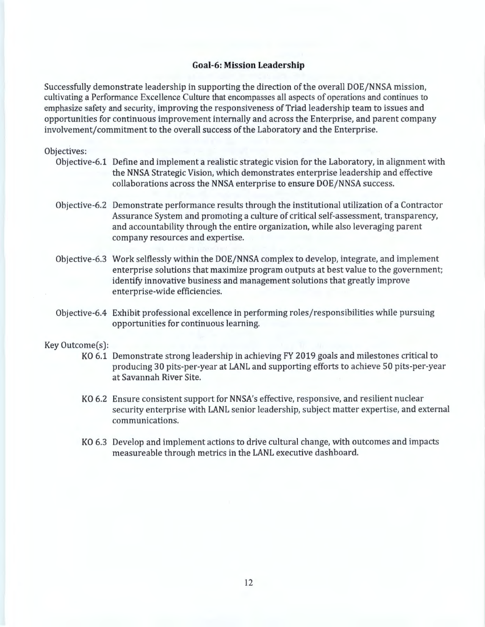#### **Goal-6: Mission Leadership**

Successfully demonstrate leadership in supporting the direction of the overall DOE/NNSA mission, cultivating a Performance Excellence Culture that encompasses all aspects of operations and continues to emphasize safety and security, improving the responsiveness of Triad leadership team to issues and opportunities for continuous improvement internally and across the Enterprise, and parent company involvement/commitment to the overall success of the Laboratory and the Enterprise.

#### Objectives:

- Objective-6.1 Define and implement a realistic strategic vision for the Laboratory, in alignment with the NNSA Strategic Vision, which demonstrates enterprise leadership and effective collaborations across the NNSA enterprise to ensure DOE/NNSA success.
- Objective-6.2 Demonstrate performance results through the institutional utilization of a Contractor Assurance System and promoting a culture of critical self-assessment, transparency, and accountability through the entire organization, while also leveraging parent company resources and expertise.
- Objective-6.3 Work selflessly within the DOE/NNSA complex to develop, integrate, and implement enterprise solutions that maximize program outputs at best value to the government; identify innovative business and management solutions that greatly improve enterprise-wide efficiencies.
- Objective-6.4 Exhibit professional excellence in performing roles/responsibilities while pursuing opportunities for continuous learning.

- KO 6.1 Demonstrate strong leadership in achieving FY 2019 goals and milestones critical to producing 30 pits-per-year at LANL and supporting efforts to achieve 50 pits-per-year at Savannah River Site.
- KO 6.2 Ensure consistent support for NNSA's effective, responsive, and resilient nuclear security enterprise with LANL senior leadership, subject matter expertise, and external communications.
- KO 6.3 Develop and implement actions to drive cultural change, with outcomes and impacts measureable through metrics in the LANL executive dashboard.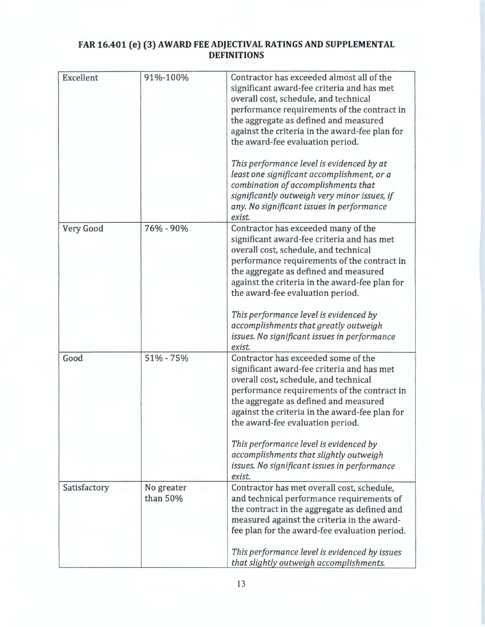# **FAR 16.401 (e) (3) AWARD FEE ADJECTIVAL RATINGS AND SUPPLEMENTAL DEFINITIONS**

| Excellent    | 91%-100%               | Contractor has exceeded almost all of the<br>significant award-fee criteria and has met<br>overall cost, schedule, and technical<br>performance requirements of the contract in<br>the aggregate as defined and measured<br>against the criteria in the award-fee plan for<br>the award-fee evaluation period.<br>This performance level is evidenced by at<br>least one significant accomplishment, or a<br>combination of accomplishments that<br>significantly outweigh very minor issues, if<br>any. No significant issues in performance |
|--------------|------------------------|-----------------------------------------------------------------------------------------------------------------------------------------------------------------------------------------------------------------------------------------------------------------------------------------------------------------------------------------------------------------------------------------------------------------------------------------------------------------------------------------------------------------------------------------------|
| Very Good    | 76% - 90%              | exist.<br>Contractor has exceeded many of the<br>significant award-fee criteria and has met<br>overall cost, schedule, and technical<br>performance requirements of the contract in<br>the aggregate as defined and measured<br>against the criteria in the award-fee plan for<br>the award-fee evaluation period.<br>This performance level is evidenced by                                                                                                                                                                                  |
|              |                        | accomplishments that greatly outweigh<br>issues. No significant issues in performance<br>exist.                                                                                                                                                                                                                                                                                                                                                                                                                                               |
| Good         | 51% - 75%              | Contractor has exceeded some of the<br>significant award-fee criteria and has met<br>overall cost, schedule, and technical<br>performance requirements of the contract in<br>the aggregate as defined and measured<br>against the criteria in the award-fee plan for<br>the award-fee evaluation period.<br>This performance level is evidenced by                                                                                                                                                                                            |
|              |                        | accomplishments that slightly outweigh<br>issues. No significant issues in performance<br>exist.                                                                                                                                                                                                                                                                                                                                                                                                                                              |
| Satisfactory | No greater<br>than 50% | Contractor has met overall cost, schedule,<br>and technical performance requirements of<br>the contract in the aggregate as defined and<br>measured against the criteria in the award-<br>fee plan for the award-fee evaluation period.<br>This performance level is evidenced by issues<br>that slightly outweigh accomplishments.                                                                                                                                                                                                           |